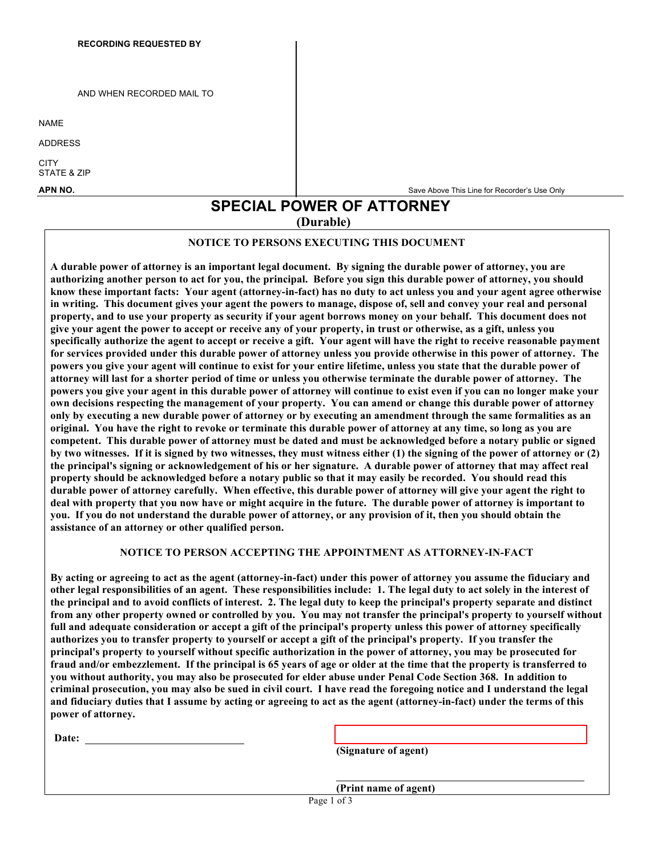#### AND WHEN RECORDED MAIL TO

NAME

ADDRESS

**CITY** STATE & ZIP

**APN NO. Save Above This Line for Recorder's Use Only 10.** Save Above This Line for Recorder's Use Only

## **SPECIAL POWER OF ATTORNEY**

**(Durable)**

### **NOTICE TO PERSONS EXECUTING THIS DOCUMENT**

**A durable power of attorney is an important legal document. By signing the durable power of attorney, you are authorizing another person to act for you, the principal. Before you sign this durable power of attorney, you should know these important facts: Your agent (attorney-in-fact) has no duty to act unless you and your agent agree otherwise in writing. This document gives your agent the powers to manage, dispose of, sell and convey your real and personal property, and to use your property as security if your agent borrows money on your behalf. This document does not give your agent the power to accept or receive any of your property, in trust or otherwise, as a gift, unless you specifically authorize the agent to accept or receive a gift. Your agent will have the right to receive reasonable payment for services provided under this durable power of attorney unless you provide otherwise in this power of attorney. The powers you give your agent will continue to exist for your entire lifetime, unless you state that the durable power of attorney will last for a shorter period of time or unless you otherwise terminate the durable power of attorney. The powers you give your agent in this durable power of attorney will continue to exist even if you can no longer make your own decisions respecting the management of your property. You can amend or change this durable power of attorney only by executing a new durable power of attorney or by executing an amendment through the same formalities as an original. You have the right to revoke or terminate this durable power of attorney at any time, so long as you are competent. This durable power of attorney must be dated and must be acknowledged before a notary public or signed by two witnesses. If it is signed by two witnesses, they must witness either (1) the signing of the power of attorney or (2) the principal's signing or acknowledgement of his or her signature. A durable power of attorney that may affect real property should be acknowledged before a notary public so that it may easily be recorded. You should read this durable power of attorney carefully. When effective, this durable power of attorney will give your agent the right to deal with property that you now have or might acquire in the future. The durable power of attorney is important to you. If you do not understand the durable power of attorney, or any provision of it, then you should obtain the assistance of an attorney or other qualified person.**

### **NOTICE TO PERSON ACCEPTING THE APPOINTMENT AS ATTORNEY-IN-FACT**

**By acting or agreeing to act as the agent (attorney-in-fact) under this power of attorney you assume the fiduciary and other legal responsibilities of an agent. These responsibilities include: 1. The legal duty to act solely in the interest of the principal and to avoid conflicts of interest. 2. The legal duty to keep the principal's property separate and distinct from any other property owned or controlled by you. You may not transfer the principal's property to yourself without full and adequate consideration or accept a gift of the principal's property unless this power of attorney specifically authorizes you to transfer property to yourself or accept a gift of the principal's property. If you transfer the principal's property to yourself without specific authorization in the power of attorney, you may be prosecuted for fraud and/or embezzlement. If the principal is 65 years of age or older at the time that the property is transferred to you without authority, you may also be prosecuted for elder abuse under Penal Code Section 368. In addition to criminal prosecution, you may also be sued in civil court. I have read the foregoing notice and I understand the legal and fiduciary duties that I assume by acting or agreeing to act as the agent (attorney-in-fact) under the terms of this power of attorney.**

**Date:** 

**(Signature of agent)**

**(Print name of agent)**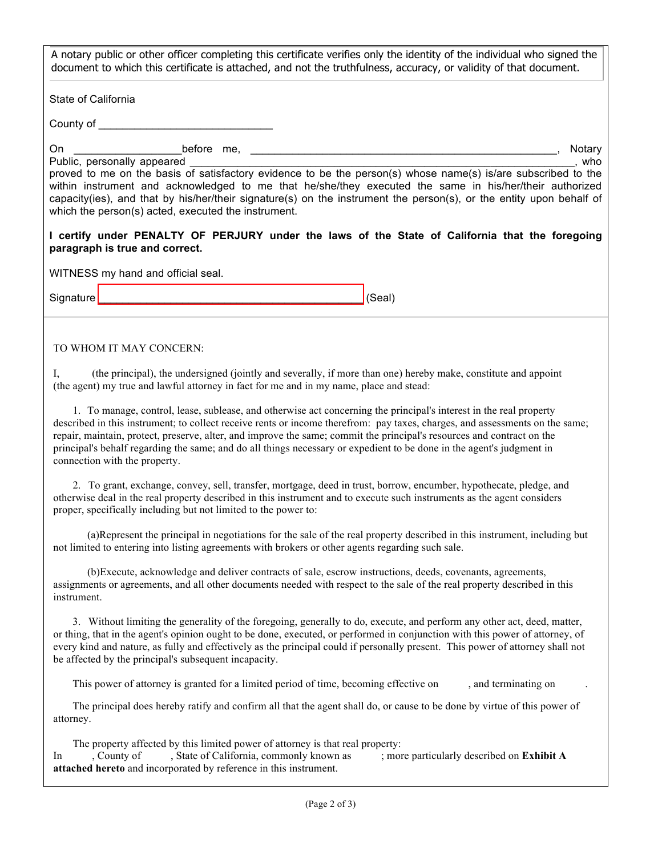A notary public or other officer completing this certificate verifies only the identity of the individual who signed the document to which this certificate is attached, and not the truthfulness, accuracy, or validity of that document.

State of California

County of \_\_\_\_\_\_\_\_\_\_\_\_\_\_\_\_\_\_\_\_\_\_\_\_\_\_\_\_\_

On before me, the contract of the before me, the contract of the contract of the contract of the contract of the contract of the contract of the contract of the contract of the contract of the contract of the contract of t

Public, personally appeared **Exercise 2.** Note that the set of the set of the set of the set of the set of the set of the set of the set of the set of the set of the set of the set of the set of the set of the set of the s proved to me on the basis of satisfactory evidence to be the person(s) whose name(s) is/are subscribed to the within instrument and acknowledged to me that he/she/they executed the same in his/her/their authorized capacity(ies), and that by his/her/their signature(s) on the instrument the person(s), or the entity upon behalf of which the person(s) acted, executed the instrument.

**I certify under PENALTY OF PERJURY under the laws of the State of California that the foregoing paragraph is true and correct.** 

WITNESS my hand and official seal.

Signature (Seal)

TO WHOM IT MAY CONCERN:

I, (the principal), the undersigned (jointly and severally, if more than one) hereby make, constitute and appoint (the agent) my true and lawful attorney in fact for me and in my name, place and stead:

1. To manage, control, lease, sublease, and otherwise act concerning the principal's interest in the real property described in this instrument; to collect receive rents or income therefrom: pay taxes, charges, and assessments on the same; repair, maintain, protect, preserve, alter, and improve the same; commit the principal's resources and contract on the principal's behalf regarding the same; and do all things necessary or expedient to be done in the agent's judgment in connection with the property.

2. To grant, exchange, convey, sell, transfer, mortgage, deed in trust, borrow, encumber, hypothecate, pledge, and otherwise deal in the real property described in this instrument and to execute such instruments as the agent considers proper, specifically including but not limited to the power to:

(a)Represent the principal in negotiations for the sale of the real property described in this instrument, including but not limited to entering into listing agreements with brokers or other agents regarding such sale.

(b)Execute, acknowledge and deliver contracts of sale, escrow instructions, deeds, covenants, agreements, assignments or agreements, and all other documents needed with respect to the sale of the real property described in this instrument.

3. Without limiting the generality of the foregoing, generally to do, execute, and perform any other act, deed, matter, or thing, that in the agent's opinion ought to be done, executed, or performed in conjunction with this power of attorney, of every kind and nature, as fully and effectively as the principal could if personally present. This power of attorney shall not be affected by the principal's subsequent incapacity.

This power of attorney is granted for a limited period of time, becoming effective on , and terminating on

The principal does hereby ratify and confirm all that the agent shall do, or cause to be done by virtue of this power of attorney.

The property affected by this limited power of attorney is that real property: In , County of , State of California, commonly known as ; more particularly described on **Exhibit A attached hereto** and incorporated by reference in this instrument.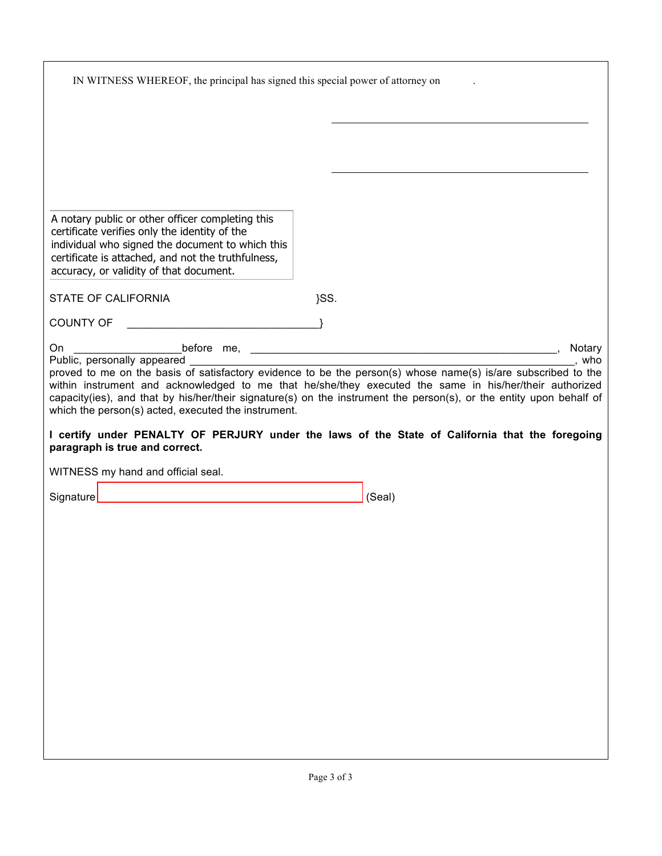| IN WITNESS WHEREOF, the principal has signed this special power of attorney on                                                                                                                                                                         |                                                                                                                                                                                                                                                                                                                                                                                                                                                                  |
|--------------------------------------------------------------------------------------------------------------------------------------------------------------------------------------------------------------------------------------------------------|------------------------------------------------------------------------------------------------------------------------------------------------------------------------------------------------------------------------------------------------------------------------------------------------------------------------------------------------------------------------------------------------------------------------------------------------------------------|
|                                                                                                                                                                                                                                                        |                                                                                                                                                                                                                                                                                                                                                                                                                                                                  |
|                                                                                                                                                                                                                                                        |                                                                                                                                                                                                                                                                                                                                                                                                                                                                  |
|                                                                                                                                                                                                                                                        |                                                                                                                                                                                                                                                                                                                                                                                                                                                                  |
|                                                                                                                                                                                                                                                        |                                                                                                                                                                                                                                                                                                                                                                                                                                                                  |
| A notary public or other officer completing this<br>certificate verifies only the identity of the<br>individual who signed the document to which this<br>certificate is attached, and not the truthfulness,<br>accuracy, or validity of that document. |                                                                                                                                                                                                                                                                                                                                                                                                                                                                  |
| <b>STATE OF CALIFORNIA</b>                                                                                                                                                                                                                             | }SS.                                                                                                                                                                                                                                                                                                                                                                                                                                                             |
|                                                                                                                                                                                                                                                        |                                                                                                                                                                                                                                                                                                                                                                                                                                                                  |
| On                                                                                                                                                                                                                                                     |                                                                                                                                                                                                                                                                                                                                                                                                                                                                  |
| which the person(s) acted, executed the instrument.                                                                                                                                                                                                    | Public, personally appeared who satisfactory evidence to be the person(s) whose name(s) is/are subscribed to the proved to me on the basis of satisfactory evidence to be the person(s) whose name(s) is/are subscribed to the<br>within instrument and acknowledged to me that he/she/they executed the same in his/her/their authorized<br>capacity(ies), and that by his/her/their signature(s) on the instrument the person(s), or the entity upon behalf of |
| I certify under PENALTY OF PERJURY under the laws of the State of California that the foregoing<br>paragraph is true and correct.                                                                                                                      |                                                                                                                                                                                                                                                                                                                                                                                                                                                                  |
| WITNESS my hand and official seal.                                                                                                                                                                                                                     |                                                                                                                                                                                                                                                                                                                                                                                                                                                                  |
|                                                                                                                                                                                                                                                        |                                                                                                                                                                                                                                                                                                                                                                                                                                                                  |
|                                                                                                                                                                                                                                                        |                                                                                                                                                                                                                                                                                                                                                                                                                                                                  |
|                                                                                                                                                                                                                                                        |                                                                                                                                                                                                                                                                                                                                                                                                                                                                  |
|                                                                                                                                                                                                                                                        |                                                                                                                                                                                                                                                                                                                                                                                                                                                                  |
|                                                                                                                                                                                                                                                        |                                                                                                                                                                                                                                                                                                                                                                                                                                                                  |
|                                                                                                                                                                                                                                                        |                                                                                                                                                                                                                                                                                                                                                                                                                                                                  |
|                                                                                                                                                                                                                                                        |                                                                                                                                                                                                                                                                                                                                                                                                                                                                  |
|                                                                                                                                                                                                                                                        |                                                                                                                                                                                                                                                                                                                                                                                                                                                                  |
|                                                                                                                                                                                                                                                        |                                                                                                                                                                                                                                                                                                                                                                                                                                                                  |
|                                                                                                                                                                                                                                                        |                                                                                                                                                                                                                                                                                                                                                                                                                                                                  |
|                                                                                                                                                                                                                                                        |                                                                                                                                                                                                                                                                                                                                                                                                                                                                  |